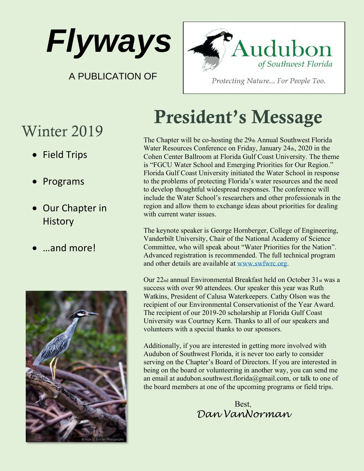

A PUBLICATION OF



Protecting Nature... For People Too.

# Winter 2019

- **Field Trips**
- **Programs**
- Our Chapter in **History**
- …and more!



# President's Message

The Chapter will be co-hosting the 29th Annual Southwest Florida Water Resources Conference on Friday, January 24th, 2020 in the Cohen Center Ballroom at Florida Gulf Coast University. The theme is "FGCU Water School and Emerging Priorities for Our Region." Florida Gulf Coast University initiated the Water School in response to the problems of protecting Florida's water resources and the need to develop thoughtful widespread responses. The conference will include the Water School's researchers and other professionals in the region and allow them to exchange ideas about priorities for dealing with current water issues.

The keynote speaker is George Hornberger, College of Engineering, Vanderbilt University, Chair of the National Academy of Science Committee, who will speak about "Water Priorities for the Nation". Advanced registration is recommended. The full technical program and other details are available at [www.swfwrc.org.](http://www.swfwrc.org/)

Our 22nd annual Environmental Breakfast held on October 31st was a success with over 90 attendees. Our speaker this year was Ruth Watkins, President of Calusa Waterkeepers. Cathy Olson was the recipient of our Environmental Conservationist of the Year Award. The recipient of our 2019-20 scholarship at Florida Gulf Coast University was Courtney Kern. Thanks to all of our speakers and volunteers with a special thanks to our sponsors.

Additionally, if you are interested in getting more involved with Audubon of Southwest Florida, it is never too early to consider serving on the Chapter's Board of Directors. If you are interested in being on the board or volunteering in another way, you can send me an email at audubon.southwest.florida@gmail.com, or talk to one of the board members at one of the upcoming programs or field trips.

> Best, *Dan VanNorman*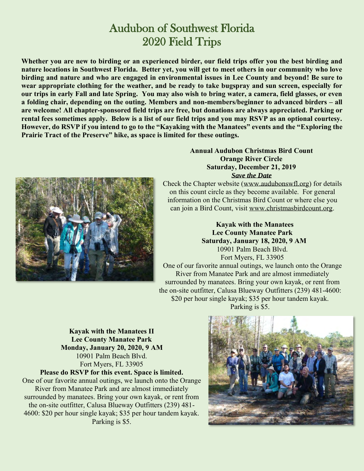## Audubon of Southwest Florida 2020 Field Trips

**Whether you are new to birding or an experienced birder, our field trips offer you the best birding and nature locations in Southwest Florida. Better yet, you will get to meet others in our community who love birding and nature and who are engaged in environmental issues in Lee County and beyond! Be sure to wear appropriate clothing for the weather, and be ready to take bugspray and sun screen, especially for our trips in early Fall and late Spring. You may also wish to bring water, a camera, field glasses, or even a folding chair, depending on the outing. Members and non-members/beginner to advanced birders – all are welcome! All chapter-sponsored field trips are free, but donations are always appreciated. Parking or rental fees sometimes apply. Below is a list of our field trips and you may RSVP as an optional courtesy. However, do RSVP if you intend to go to the "Kayaking with the Manatees" events and the "Exploring the Prairie Tract of the Preserve" hike, as space is limited for these outings.**



#### **Annual Audubon Christmas Bird Count Orange River Circle Saturday, December 21, 2019** *Save the Date*

Check the Chapter website [\(www.audubonswfl.org\)](http://www.audubonswfl.org/) for details on this count circle as they become available. For general information on the Christmas Bird Count or where else you can join a Bird Count, visit [www.christmasbirdcount.org.](http://www.christmasbirdcount.org/)

 **Kayak with the Manatees Lee County Manatee Park Saturday, January 18, 2020, 9 AM** 10901 Palm Beach Blvd. Fort Myers, FL 33905 One of our favorite annual outings, we launch onto the Orange River from Manatee Park and are almost immediately surrounded by manatees. Bring your own kayak, or rent from the on-site outfitter, Calusa Blueway Outfitters (239) 481-4600: \$20 per hour single kayak; \$35 per hour tandem kayak. Parking is \$5.

**Kayak with the Manatees II Lee County Manatee Park Monday, January 20, 2020, 9 AM** 10901 Palm Beach Blvd. Fort Myers, FL 33905

**Please do RSVP for this event. Space is limited.**

One of our favorite annual outings, we launch onto the Orange River from Manatee Park and are almost immediately surrounded by manatees. Bring your own kayak, or rent from the on-site outfitter, Calusa Blueway Outfitters (239) 481- 4600: \$20 per hour single kayak; \$35 per hour tandem kayak. Parking is \$5.

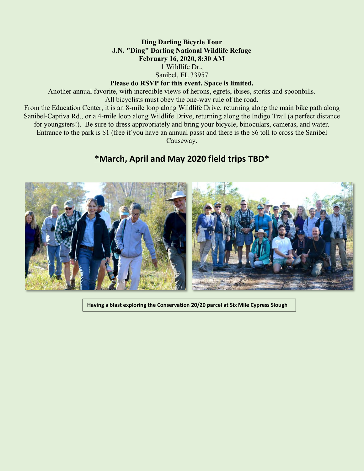#### **Ding Darling Bicycle Tour J.N. "Ding" Darling National Wildlife Refuge February 16, 2020, 8:30 AM** 1 Wildlife Dr., Sanibel, FL 33957

#### **Please do RSVP for this event. Space is limited.**

Another annual favorite, with incredible views of herons, egrets, ibises, storks and spoonbills. All bicyclists must obey the one-way rule of the road. From the Education Center, it is an 8-mile loop along Wildlife Drive, returning along the main bike path along Sanibel-Captiva Rd., or a 4-mile loop along Wildlife Drive, returning along the Indigo Trail (a perfect distance for youngsters!). Be sure to dress appropriately and bring your bicycle, binoculars, cameras, and water. Entrance to the park is \$1 (free if you have an annual pass) and there is the \$6 toll to cross the Sanibel Causeway.

### **\*March, April and May 2020 field trips TBD\***



**Having a blast exploring the Conservation 20/20 parcel at Six Mile Cypress Slough**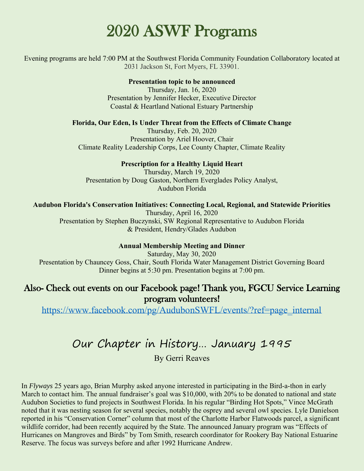# 2020 ASWF Programs

Evening programs are held 7:00 PM at the Southwest Florida Community Foundation Collaboratory located at 2031 Jackson St, Fort Myers, FL 33901.

#### **Presentation topic to be announced**

Thursday, Jan. 16, 2020 Presentation by Jennifer Hecker, Executive Director Coastal & Heartland National Estuary Partnership

#### **Florida, Our Eden, Is Under Threat from the Effects of Climate Change**

Thursday, Feb. 20, 2020 Presentation by Ariel Hoover, Chair Climate Reality Leadership Corps, Lee County Chapter, Climate Reality

#### **Prescription for a Healthy Liquid Heart**

Thursday, March 19, 2020 Presentation by Doug Gaston, Northern Everglades Policy Analyst, Audubon Florida

#### **Audubon Florida's Conservation Initiatives: Connecting Local, Regional, and Statewide Priorities**

Thursday, April 16, 2020 Presentation by Stephen Buczynski, SW Regional Representative to Audubon Florida & President, Hendry/Glades Audubon

#### **Annual Membership Meeting and Dinner**

Saturday, May 30, 2020 Presentation by Chauncey Goss, Chair, South Florida Water Management District Governing Board Dinner begins at 5:30 pm. Presentation begins at 7:00 pm.

#### Also- Check out events on our Facebook page! Thank you, FGCU Service Learning program volunteers!

[https://www.facebook.com/pg/AudubonSWFL/events/?ref=page\\_internal](https://www.facebook.com/pg/AudubonSWFL/events/?ref=page_internal)

# Our Chapter in History… January 1995

By Gerri Reaves

In *Flyways* 25 years ago, Brian Murphy asked anyone interested in participating in the Bird-a-thon in early March to contact him. The annual fundraiser's goal was \$10,000, with 20% to be donated to national and state Audubon Societies to fund projects in Southwest Florida. In his regular "Birding Hot Spots," Vince McGrath noted that it was nesting season for several species, notably the osprey and several owl species. Lyle Danielson reported in his "Conservation Corner" column that most of the Charlotte Harbor Flatwoods parcel, a significant wildlife corridor, had been recently acquired by the State. The announced January program was "Effects of Hurricanes on Mangroves and Birds" by Tom Smith, research coordinator for Rookery Bay National Estuarine Reserve. The focus was surveys before and after 1992 Hurricane Andrew.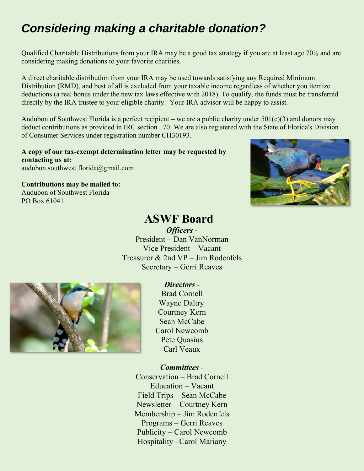# *Considering making a charitable donation?*

Qualified Charitable Distributions from your IRA may be a good tax strategy if you are at least age 70½ and are considering making donations to your favorite charities.

A direct charitable distribution from your IRA may be used towards satisfying any Required Minimum Distribution (RMD), and best of all is excluded from your taxable income regardless of whether you itemize deductions (a real bonus under the new tax laws effective with 2018). To qualify, the funds must be transferred directly by the IRA trustee to your eligible charity. Your IRA advisor will be happy to assist.

Audubon of Southwest Florida is a perfect recipient – we are a public charity under  $501(c)(3)$  and donors may deduct contributions as provided in IRC section 170. We are also registered with the State of Florida's Division of Consumer Services under registration number CH30193.

**A copy of our tax-exempt determination letter may be requested by contacting us at:** audubon.southwest.florida@gmail.com

**Contributions may be mailed to:** Audubon of Southwest Florida PO Box 61041

## **ASWF Board**

*Officers* - President – Dan VanNorman Vice President – Vacant Treasurer & 2nd VP – Jim Rodenfels Secretary – Gerri Reaves



*Directors* - Brad Cornell Wayne Daltry Courtney Kern Sean McCabe Carol Newcomb Pete Quasius Carl Veaux

#### *Committees* -

Conservation – Brad Cornell Education – Vacant Field Trips – Sean McCabe Newsletter – Courtney Kern Membership – Jim Rodenfels Programs – Gerri Reaves Publicity – Carol Newcomb Hospitality –Carol Mariany

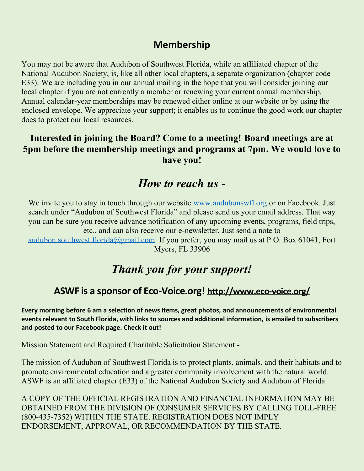### **Membership**

You may not be aware that Audubon of Southwest Florida, while an affiliated chapter of the National Audubon Society, is, like all other local chapters, a separate organization (chapter code E33). We are including you in our annual mailing in the hope that you will consider joining our local chapter if you are not currently a member or renewing your current annual membership. Annual calendar-year memberships may be renewed either online at our website or by using the enclosed envelope. We appreciate your support; it enables us to continue the good work our chapter does to protect our local resources.

### **Interested in joining the Board? Come to a meeting! Board meetings are at 5pm before the membership meetings and programs at 7pm. We would love to have you!**

## *How to reach us -*

We invite you to stay in touch through our website [www.audubonswfl.org](http://www.audubonswfl.org/) or on Facebook. Just search under "Audubon of Southwest Florida" and please send us your email address. That way you can be sure you receive advance notification of any upcoming events, programs, field trips, etc., and can also receive our e-newsletter. Just send a note to

[audubon.southwest.florida@gmail.com](mailto:audubon.southwest.florida@gmail.com) If you prefer, you may mail us at P.O. Box 61041, Fort Myers, FL 33906

## *Thank you for your support!*

## **ASWF is a sponsor of Eco-Voice.org! <http://www.eco-voice.org/>**

**Every morning before 6 am a selection of news items, great photos, and announcements of environmental events relevant to South Florida, with links to sources and additional information, is emailed to subscribers and posted to our Facebook page. Check it out!**

Mission Statement and Required Charitable Solicitation Statement -

The mission of Audubon of Southwest Florida is to protect plants, animals, and their habitats and to promote environmental education and a greater community involvement with the natural world. ASWF is an affiliated chapter (E33) of the National Audubon Society and Audubon of Florida.

A COPY OF THE OFFICIAL REGISTRATION AND FINANCIAL INFORMATION MAY BE OBTAINED FROM THE DIVISION OF CONSUMER SERVICES BY CALLING TOLL-FREE (800-435-7352) WITHIN THE STATE. REGISTRATION DOES NOT IMPLY ENDORSEMENT, APPROVAL, OR RECOMMENDATION BY THE STATE.